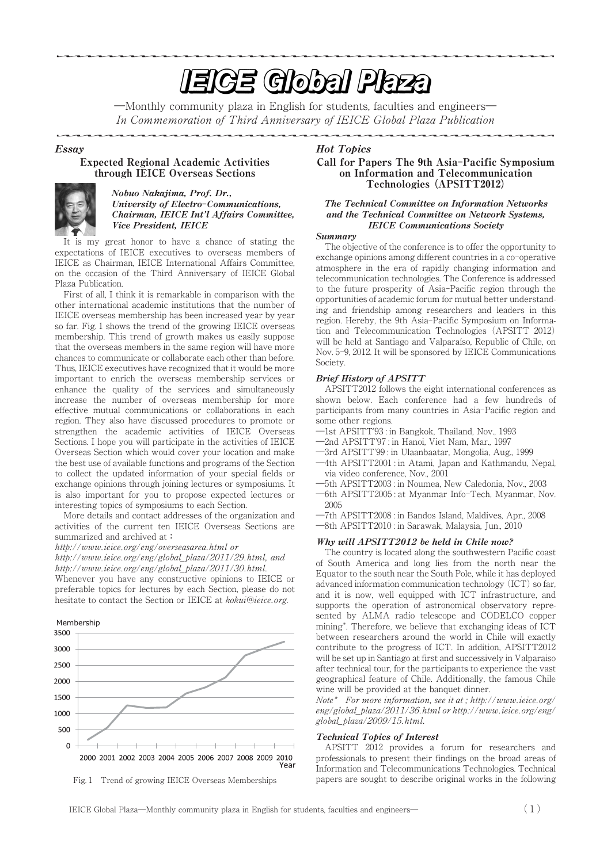# **EIGE Global Plaza**

―Monthly community plaza in English for students, faculties and engineers― In Commemoration of Third Anniversary of IEICE Global Plaza Publication

#### Essay

### Expected Regional Academic Activities through IEICE Overseas Sections



# Nobuo Nakajima, Prof. Dr., University of Electro**-**Communications, Chairman, IEICE Int'l Affairs Committee, Vice President, IEICE

It is my great honor to have a chance of stating the expectations of IEICE executives to overseas members of IEICE as Chairman, IEICE International Affairs Committee, on the occasion of the Third Anniversary of IEICE Global Plaza Publication.

First of all, I think it is remarkable in comparison with the other international academic institutions that the number of IEICE overseas membership has been increased year by year so far.Fig.1 shows the trend of the growing IEICE overseas membership. This trend of growth makes us easily suppose that the overseas members in the same region will have more chances to communicate or collaborate each other than before. Thus, IEICE executives have recognized that it would be more important to enrich the overseas membership services or enhance the quality of the services and simultaneously increase the number of overseas membership for more effective mutual communications or collaborations in each region.They also have discussed procedures to promote or strengthen the academic activities of IEICE Overseas Sections.I hope you will participate in the activities of IEICE Overseas Section which would cover your location and make the best use of available functions and programs of the Section to collect the updated information of your special fields or exchange opinions through joining lectures or symposiums.It is also important for you to propose expected lectures or interesting topics of symposiums to each Section.

More details and contact addresses of the organization and activities of the current ten IEICE Overseas Sections are summarized and archived at**:**

http://www.ieice.org/eng/overseasarea.html or

http://www.ieice.org/eng/global\_plaza/2011/29.html, and http://www.ieice.org/eng/global\_plaza/2011/30.html.

Whenever you have any constructive opinions to IEICE or preferable topics for lectures by each Section, please do not hesitate to contact the Section or IEICE at kokui@ieice.org.





Fig.J Trend of growing IEICE Overseas Memberships

# Hot Topics

# Call for Papers The 9th Asia**-**Pacific Symposium on Information and Telecommunication Technologies **(**APSITT2012**)**

#### The Technical Committee on Information Networks and the Technical Committee on Network Systems, IEICE Communications Society

#### Summary

The objective of the conference is to offer the opportunity to exchange opinions among different countries in a co-operative atmosphere in the era of rapidly changing information and telecommunication technologies.The Conference is addressed to the future prosperity of Asia-Pacific region through the opportunities of academic forum for mutual better understanding and friendship among researchers and leaders in this region.Hereby, the 9th Asia-Pacific Symposium on Information and Telecommunication Technologies (APSITT 2012) will be held at Santiago and Valparaíso, Republic of Chile, on Nov.5-9, 2012.It will be sponsored by IEICE Communications Society.

#### Brief History of APSITT

APSITT2012 follows the eight international conferences as shown below.Each conference had a few hundreds of participants from many countries in Asia-Pacific region and some other regions.

- ―1st APSITT'93 : in Bangkok, Thailand, Nov., 1993
- ―2nd APSITT'97 : in Hanoi, Viet Nam, Mar., 1997
- ―3rd APSITT'99 : in Ulaanbaatar, Mongolia, Aug., 1999
- ―4th APSITT2001 : in Atami, Japan and Kathmandu, Nepal, via video conference, Nov., 2001
- ―5th APSITT2003 : in Noumea, New Caledonia, Nov., 2003
- ―6th APSITT2005 : at Myanmar Info-Tech, Myanmar, Nov. 2005
- ―7th APSITT2008 : in Bandos Island, Maldives, Apr., 2008
- ―8th APSITT2010 : in Sarawak, Malaysia, Jun., 2010

# Why will APSITT2012 be held in Chile now?

The country is located along the southwestern Pacific coast of South America and long lies from the north near the Equator to the south near the South Pole, while it has deployed advanced information communication technology (ICT) so far, and it is now, well equipped with ICT infrastructure, and supports the operation of astronomical observatory represented by ALMA radio telescope and CODELCO copper mining\* .Therefore, we believe that exchanging ideas of ICT between researchers around the world in Chile will exactly contribute to the progress of ICT. In addition, APSITT2012 will be set up in Santiago at first and successively in Valparaiso after technical tour, for the participants to experience the vast geographical feature of Chile.Additionally, the famous Chile wine will be provided at the banquet dinner.

Note\* For more information, see it at ; http://www.ieice.org/ eng/global\_plaza/2011/36.html or http://www.ieice.org/eng/ global\_plaza/2009/15.html.

## Technical Topics of Interest

APSITT 2012 provides a forum for researchers and professionals to present their findings on the broad areas of Information and Telecommunications Technologies.Technical papers are sought to describe original works in the following